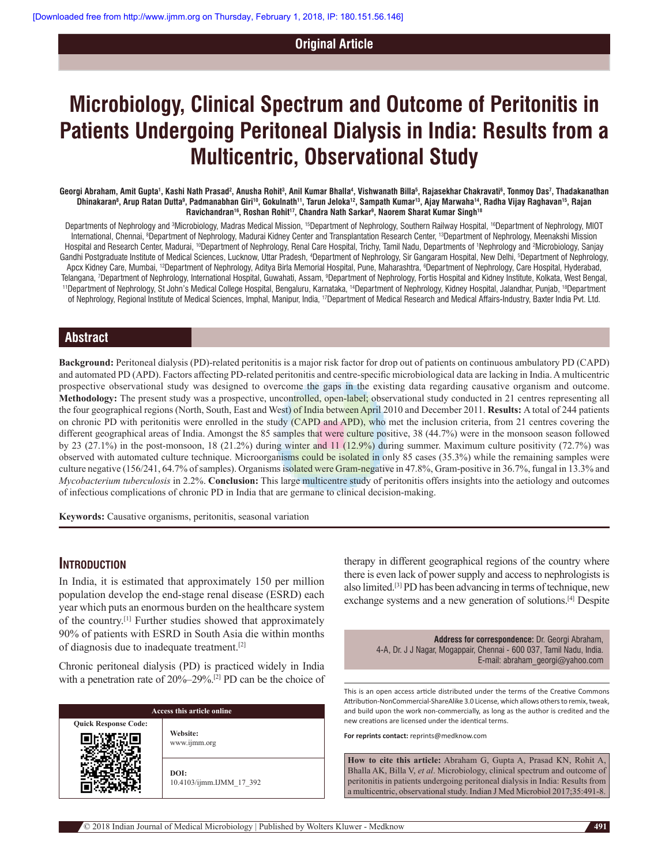#### **Original Article**

# **Microbiology, Clinical Spectrum and Outcome of Peritonitis in Patients Undergoing Peritoneal Dialysis in India: Results from a Multicentric, Observational Study**

Georgi Abraham, Amit Gupta<sup>1</sup>, Kashi Nath Prasad<sup>2</sup>, Anusha Rohit<sup>3</sup>, Anil Kumar Bhalla4, Vishwanath Billa<sup>5</sup>, Rajasekhar Chakravati<sup>6</sup>, Tonmoy Das<sup>7</sup>, Thadakanathan Dhinakaran<sup>8</sup>, Arup Ratan Dutta<sup>9</sup>, Padmanabhan Giri<sup>10</sup>, Gokulnath<sup>11</sup>, Tarun Jeloka<sup>12</sup>, Sampath Kumar<sup>13</sup>, Ajay Marwaha<sup>14</sup>, Radha Vijay Raghavan<sup>15</sup>, Rajan **Ravichandran16, Roshan Rohit17, Chandra Nath Sarkar9 , Naorem Sharat Kumar Singh18**

Departments of Nephrology and <sup>3</sup>Microbiology, Madras Medical Mission, <sup>15</sup>Department of Nephrology, Southern Railway Hospital, <sup>16</sup>Department of Nephrology, MIOT International, Chennai, 8 Department of Nephrology, Madurai Kidney Center and Transplantation Research Center, 13Department of Nephrology, Meenakshi Mission Hospital and Research Center, Madurai, <sup>10</sup>Department of Nephrology, Renal Care Hospital, Trichy, Tamil Nadu, Departments of 'Nephrology and <sup>2</sup>Microbiology, Sanjay Gandhi Postgraduate Institute of Medical Sciences, Lucknow, Uttar Pradesh, 4 Department of Nephrology, Sir Gangaram Hospital, New Delhi, 5 Department of Nephrology, Apcx Kidney Care, Mumbai, 12Department of Nephrology, Aditya Birla Memorial Hospital, Pune, Maharashtra, 6 Department of Nephrology, Care Hospital, Hyderabad, Telangana, <sup>7</sup>Department of Nephrology, International Hospital, Guwahati, Assam, <sup>9</sup>Department of Nephrology, Fortis Hospital and Kidney Institute, Kolkata, West Bengal, <sup>11</sup>Department of Nephrology, St John's Medical College Hospital, Bengaluru, Karnataka, 14Department of Nephrology, Kidney Hospital, Jalandhar, Punjab, 18Department of Nephrology, Regional Institute of Medical Sciences, lmphal, Manipur, India, 17Department of Medical Research and Medical Affairs-Industry, Baxter India Pvt. Ltd.

## **Abstract**

**Background:** Peritoneal dialysis (PD)‑related peritonitis is a major risk factor for drop out of patients on continuous ambulatory PD (CAPD) and automated PD (APD). Factors affecting PD‑related peritonitis and centre‑specific microbiological data are lacking in India. Amulticentric prospective observational study was designed to overcome the gaps in the existing data regarding causative organism and outcome. **Methodology:** The present study was a prospective, uncontrolled, open-label; observational study conducted in 21 centres representing all the four geographical regions (North, South, East and West) of India between April 2010 and December 2011. **Results:** A total of 244 patients on chronic PD with peritonitis were enrolled in the study (CAPD and APD), who met the inclusion criteria, from 21 centres covering the different geographical areas of India. Amongst the 85 samples that were culture positive, 38 (44.7%) were in the monsoon season followed by 23 (27.1%) in the post-monsoon, 18 (21.2%) during winter and 11 (12.9%) during summer. Maximum culture positivity (72.7%) was observed with automated culture technique. Microorganisms could be isolated in only 85 cases (35.3%) while the remaining samples were culture negative (156/241, 64.7% of samples). Organisms isolated were Gram-negative in 47.8%, Gram-positive in 36.7%, fungal in 13.3% and *Mycobacterium tuberculosis* in 2.2%. **Conclusion:** This large multicentre study of peritonitis offers insights into the aetiology and outcomes of infectious complications of chronic PD in India that are germane to clinical decision‑making.

**Keywords:** Causative organisms, peritonitis, seasonal variation

#### **Introduction**

In India, it is estimated that approximately 150 per million population develop the end‑stage renal disease (ESRD) each year which puts an enormous burden on the healthcare system of the country.[1] Further studies showed that approximately 90% of patients with ESRD in South Asia die within months of diagnosis due to inadequate treatment.[2]

Chronic peritoneal dialysis (PD) is practiced widely in India with a penetration rate of 20%–29%.[2] PD can be the choice of

| Access this article online  |                                  |  |  |  |
|-----------------------------|----------------------------------|--|--|--|
| <b>Quick Response Code:</b> | Website:<br>www.ijmm.org         |  |  |  |
|                             | DOI:<br>10.4103/ijmm.IJMM 17 392 |  |  |  |

therapy in different geographical regions of the country where there is even lack of power supply and access to nephrologists is also limited.[3] PD has been advancing in terms of technique, new exchange systems and a new generation of solutions.[4] Despite

**Address for correspondence:** Dr. Georgi Abraham, 4‑A, Dr. J J Nagar, Mogappair, Chennai ‑ 600 037, Tamil Nadu, India. E‑mail: abraham\_georgi@yahoo.com

This is an open access article distributed under the terms of the Creative Commons Attribution‑NonCommercial‑ShareAlike 3.0 License, which allows others to remix, tweak, and build upon the work non-commercially, as long as the author is credited and the new creations are licensed under the identical terms.

**For reprints contact:** reprints@medknow.com

**How to cite this article:** Abraham G, Gupta A, Prasad KN, Rohit A, Bhalla AK, Billa V, *et al*. Microbiology, clinical spectrum and outcome of peritonitis in patients undergoing peritoneal dialysis in India: Results from a multicentric, observational study. Indian J Med Microbiol 2017;35:491-8.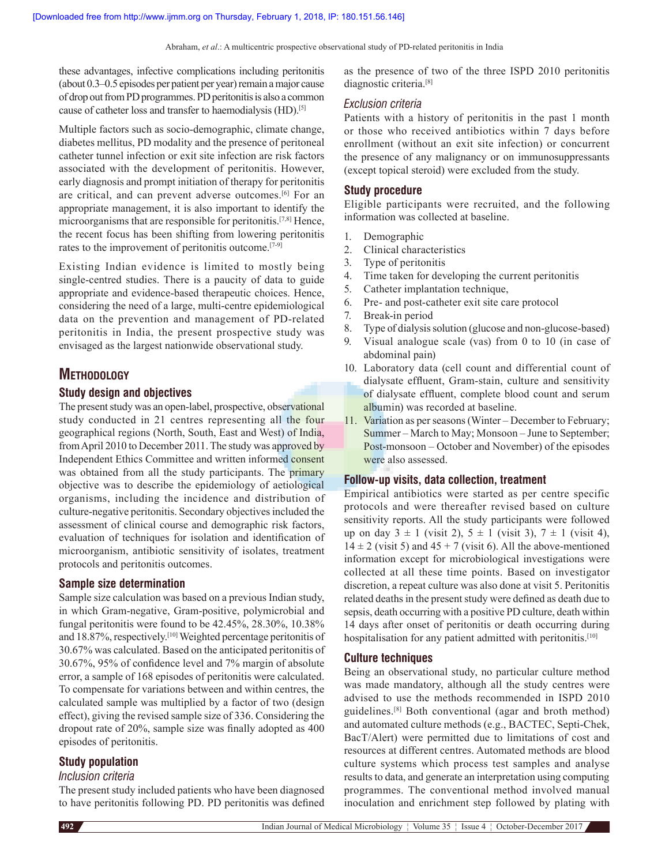Abraham, et al.: A multicentric prospective observational study of PD-related peritonitis in India

these advantages, infective complications including peritonitis (about 0.3–0.5 episodes per patient per year) remain a major cause of drop out from PD programmes. PD peritonitis is also a common cause of catheter loss and transfer to haemodialysis (HD).[5]

Multiple factors such as socio-demographic, climate change, diabetes mellitus, PD modality and the presence of peritoneal catheter tunnel infection or exit site infection are risk factors associated with the development of peritonitis. However, early diagnosis and prompt initiation of therapy for peritonitis are critical, and can prevent adverse outcomes.[6] For an appropriate management, it is also important to identify the microorganisms that are responsible for peritonitis.[7,8] Hence, the recent focus has been shifting from lowering peritonitis rates to the improvement of peritonitis outcome.<sup>[7-9]</sup>

Existing Indian evidence is limited to mostly being single-centred studies. There is a paucity of data to guide appropriate and evidence‑based therapeutic choices. Hence, considering the need of a large, multi-centre epidemiological data on the prevention and management of PD-related peritonitis in India, the present prospective study was envisaged as the largest nationwide observational study.

# **Methodology**

## **Study design and objectives**

The present study was an open-label, prospective, observational study conducted in 21 centres representing all the four geographical regions (North, South, East and West) of India, from April 2010 to December 2011. The study was approved by Independent Ethics Committee and written informed consent was obtained from all the study participants. The primary objective was to describe the epidemiology of aetiological organisms, including the incidence and distribution of culture‑negative peritonitis. Secondary objectives included the assessment of clinical course and demographic risk factors, evaluation of techniques for isolation and identification of microorganism, antibiotic sensitivity of isolates, treatment protocols and peritonitis outcomes.

# **Sample size determination**

Sample size calculation was based on a previous Indian study, in which Gram‑negative, Gram‑positive, polymicrobial and fungal peritonitis were found to be 42.45%, 28.30%, 10.38% and 18.87%, respectively.[10] Weighted percentage peritonitis of 30.67% was calculated. Based on the anticipated peritonitis of 30.67%, 95% of confidence level and 7% margin of absolute error, a sample of 168 episodes of peritonitis were calculated. To compensate for variations between and within centres, the calculated sample was multiplied by a factor of two (design effect), giving the revised sample size of 336. Considering the dropout rate of 20%, sample size was finally adopted as 400 episodes of peritonitis.

# **Study population**

#### *Inclusion criteria*

The present study included patients who have been diagnosed to have peritonitis following PD. PD peritonitis was defined as the presence of two of the three ISPD 2010 peritonitis diagnostic criteria.[8]

#### *Exclusion criteria*

Patients with a history of peritonitis in the past 1 month or those who received antibiotics within 7 days before enrollment (without an exit site infection) or concurrent the presence of any malignancy or on immunosuppressants (except topical steroid) were excluded from the study.

#### **Study procedure**

Eligible participants were recruited, and the following information was collected at baseline.

- 1. Demographic
- 2. Clinical characteristics
- 3. Type of peritonitis
- 4. Time taken for developing the current peritonitis
- 5. Catheter implantation technique,
- 6. Pre‑ and post‑catheter exit site care protocol
- 7. Break‑in period
- 8. Type of dialysis solution (glucose and non-glucose-based)
- 9. Visual analogue scale (vas) from 0 to 10 (in case of abdominal pain)
- 10. Laboratory data (cell count and differential count of dialysate effluent, Gram‑stain, culture and sensitivity of dialysate effluent, complete blood count and serum albumin) was recorded at baseline.
- 11. Variation as per seasons(Winter December to February; Summer – March to May; Monsoon – June to September; Post-monsoon – October and November) of the episodes were also assessed.

## **Follow‑up visits, data collection, treatment**

Empirical antibiotics were started as per centre specific protocols and were thereafter revised based on culture sensitivity reports. All the study participants were followed up on day  $3 \pm 1$  (visit 2),  $5 \pm 1$  (visit 3),  $7 \pm 1$  (visit 4),  $14 \pm 2$  (visit 5) and  $45 + 7$  (visit 6). All the above-mentioned information except for microbiological investigations were collected at all these time points. Based on investigator discretion, a repeat culture was also done at visit 5. Peritonitis related deaths in the present study were defined as death due to sepsis, death occurring with a positive PD culture, death within 14 days after onset of peritonitis or death occurring during hospitalisation for any patient admitted with peritonitis.<sup>[10]</sup>

#### **Culture techniques**

Being an observational study, no particular culture method was made mandatory, although all the study centres were advised to use the methods recommended in ISPD 2010 guidelines.[8] Both conventional (agar and broth method) and automated culture methods (e.g., BACTEC, Septi-Chek, BacT/Alert) were permitted due to limitations of cost and resources at different centres. Automated methods are blood culture systems which process test samples and analyse results to data, and generate an interpretation using computing programmes. The conventional method involved manual inoculation and enrichment step followed by plating with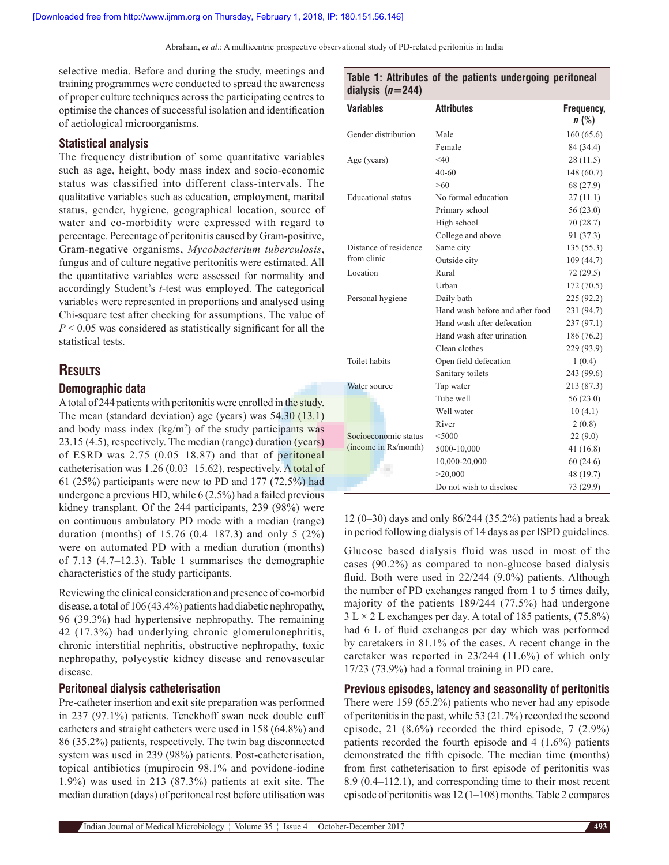Abraham, et al.: A multicentric prospective observational study of PD-related peritonitis in India

selective media. Before and during the study, meetings and training programmes were conducted to spread the awareness of proper culture techniques across the participating centres to optimise the chances of successful isolation and identification of aetiological microorganisms.

#### **Statistical analysis**

The frequency distribution of some quantitative variables such as age, height, body mass index and socio-economic status was classified into different class‑intervals. The qualitative variables such as education, employment, marital status, gender, hygiene, geographical location, source of water and co-morbidity were expressed with regard to percentage. Percentage of peritonitis caused by Gram‑positive, Gram‑negative organisms, *Mycobacterium tuberculosis*, fungus and of culture negative peritonitis were estimated. All the quantitative variables were assessed for normality and accordingly Student's *t*‑test was employed. The categorical variables were represented in proportions and analysed using Chi‑square test after checking for assumptions. The value of *P* < 0.05 was considered as statistically significant for all the statistical tests.

# **Results**

## **Demographic data**

A total of 244 patients with peritonitis were enrolled in the study. The mean (standard deviation) age (years) was 54.30 (13.1) and body mass index  $(kg/m<sup>2</sup>)$  of the study participants was 23.15 (4.5), respectively. The median (range) duration (years) of ESRD was 2.75 (0.05–18.87) and that of peritoneal catheterisation was 1.26 (0.03–15.62), respectively. A total of 61 (25%) participants were new to PD and 177 (72.5%) had undergone a previous HD, while 6 (2.5%) had a failed previous kidney transplant. Of the 244 participants, 239 (98%) were on continuous ambulatory PD mode with a median (range) duration (months) of 15.76 (0.4–187.3) and only 5 (2%) were on automated PD with a median duration (months) of 7.13 (4.7–12.3). Table 1 summarises the demographic characteristics of the study participants.

Reviewing the clinical consideration and presence of co-morbid disease, a total of 106 (43.4%) patients had diabetic nephropathy, 96 (39.3%) had hypertensive nephropathy. The remaining 42 (17.3%) had underlying chronic glomerulonephritis, chronic interstitial nephritis, obstructive nephropathy, toxic nephropathy, polycystic kidney disease and renovascular disease.

#### **Peritoneal dialysis catheterisation**

Pre‑catheter insertion and exit site preparation was performed in 237 (97.1%) patients. Tenckhoff swan neck double cuff catheters and straight catheters were used in 158 (64.8%) and 86 (35.2%) patients, respectively. The twin bag disconnected system was used in 239 (98%) patients. Post-catheterisation, topical antibiotics (mupirocin 98.1% and povidone‑iodine 1.9%) was used in 213 (87.3%) patients at exit site. The median duration (days) of peritoneal rest before utilisation was

#### **Table 1: Attributes of the patients undergoing peritoneal dialysis (***n***=244)**

| <b>Variables</b>          | <b>Attributes</b>               | Frequency,<br>$n$ (%) |  |  |
|---------------------------|---------------------------------|-----------------------|--|--|
| Gender distribution       | Male                            | 160(65.6)             |  |  |
|                           | Female                          | 84 (34.4)             |  |  |
| Age (years)               | $<$ 40                          | 28(11.5)              |  |  |
|                           | $40 - 60$                       | 148 (60.7)            |  |  |
|                           | >60                             | 68 (27.9)             |  |  |
| <b>Educational</b> status | No formal education             | 27(11.1)              |  |  |
|                           | Primary school                  | 56(23.0)              |  |  |
|                           | High school                     | 70(28.7)              |  |  |
|                           | College and above               | 91 (37.3)             |  |  |
| Distance of residence     | Same city                       | 135(55.3)             |  |  |
| from clinic               | Outside city                    | 109(44.7)             |  |  |
| Location                  | Rural                           | 72(29.5)              |  |  |
|                           | Urban                           | 172(70.5)             |  |  |
| Personal hygiene          | Daily bath                      | 225 (92.2)            |  |  |
|                           | Hand wash before and after food | 231 (94.7)            |  |  |
|                           | Hand wash after defecation      | 237(97.1)             |  |  |
|                           | Hand wash after urination       | 186 (76.2)            |  |  |
|                           | Clean clothes                   | 229 (93.9)            |  |  |
| Toilet habits             | Open field defecation           | 1(0.4)                |  |  |
|                           | Sanitary toilets                | 243 (99.6)            |  |  |
| Water source              | Tap water                       | 213 (87.3)            |  |  |
|                           | Tube well                       | 56(23.0)              |  |  |
|                           | Well water                      | 10(4.1)               |  |  |
|                           | River                           | 2(0.8)                |  |  |
| Socioeconomic status      | < 5000                          | 22(9.0)               |  |  |
| (income in Rs/month)      | 5000-10,000                     | 41 (16.8)             |  |  |
|                           | 10,000-20,000                   | 60(24.6)              |  |  |
|                           | >20,000                         | 48 (19.7)             |  |  |
|                           | Do not wish to disclose         | 73 (29.9)             |  |  |

12 (0–30) days and only 86/244 (35.2%) patients had a break in period following dialysis of 14 days as per ISPD guidelines.

Glucose based dialysis fluid was used in most of the cases (90.2%) as compared to non‑glucose based dialysis fluid. Both were used in 22/244 (9.0%) patients. Although the number of PD exchanges ranged from 1 to 5 times daily, majority of the patients 189/244 (77.5%) had undergone  $3 L \times 2 L$  exchanges per day. A total of 185 patients, (75.8%) had 6 L of fluid exchanges per day which was performed by caretakers in 81.1% of the cases. A recent change in the caretaker was reported in 23/244 (11.6%) of which only 17/23 (73.9%) had a formal training in PD care.

**Previous episodes, latency and seasonality of peritonitis**

There were 159 (65.2%) patients who never had any episode of peritonitis in the past, while 53 (21.7%) recorded the second episode, 21 (8.6%) recorded the third episode, 7 (2.9%) patients recorded the fourth episode and 4 (1.6%) patients demonstrated the fifth episode. The median time (months) from first catheterisation to first episode of peritonitis was 8.9 (0.4–112.1), and corresponding time to their most recent episode of peritonitis was 12 (1–108) months. Table 2 compares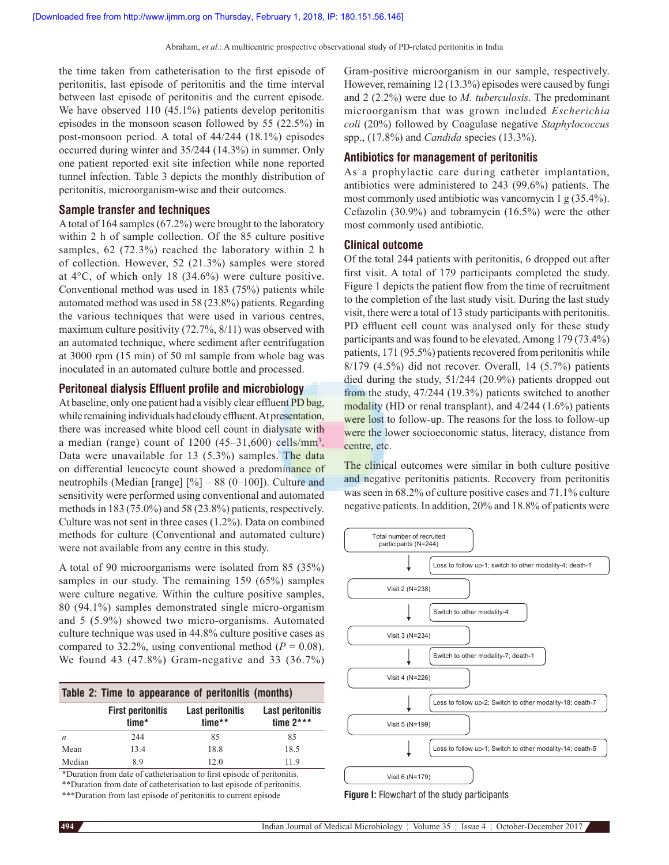the time taken from catheterisation to the first episode of peritonitis, last episode of peritonitis and the time interval between last episode of peritonitis and the current episode. We have observed 110 (45.1%) patients develop peritonitis episodes in the monsoon season followed by 55 (22.5%) in post-monsoon period. A total of 44/244 (18.1%) episodes occurred during winter and 35/244 (14.3%) in summer. Only one patient reported exit site infection while none reported tunnel infection. Table 3 depicts the monthly distribution of peritonitis, microorganism‑wise and their outcomes.

#### **Sample transfer and techniques**

A total of 164 samples(67.2%) were brought to the laboratory within 2 h of sample collection. Of the 85 culture positive samples, 62 (72.3%) reached the laboratory within 2 h of collection. However, 52 (21.3%) samples were stored at 4°C, of which only 18 (34.6%) were culture positive. Conventional method was used in 183 (75%) patients while automated method was used in 58 (23.8%) patients. Regarding the various techniques that were used in various centres, maximum culture positivity (72.7%, 8/11) was observed with an automated technique, where sediment after centrifugation at 3000 rpm (15 min) of 50 ml sample from whole bag was inoculated in an automated culture bottle and processed.

#### **Peritoneal dialysis Effluent profile and microbiology**

At baseline, only one patient had a visibly clear effluent PD bag, while remaining individuals had cloudy effluent. At presentation, there was increased white blood cell count in dialysate with a median (range) count of  $1200 (45-31,600)$  cells/mm<sup>3</sup>. Data were unavailable for 13 (5.3%) samples. The data on differential leucocyte count showed a predominance of neutrophils (Median [range] [%] – 88 (0–100]). Culture and sensitivity were performed using conventional and automated methods in 183 (75.0%) and 58 (23.8%) patients, respectively. Culture was not sent in three cases (1.2%). Data on combined methods for culture (Conventional and automated culture) were not available from any centre in this study.

A total of 90 microorganisms were isolated from 85 (35%) samples in our study. The remaining 159 (65%) samples were culture negative. Within the culture positive samples, 80 (94.1%) samples demonstrated single micro‑organism and 5 (5.9%) showed two micro‑organisms. Automated culture technique was used in 44.8% culture positive cases as compared to 32.2%, using conventional method  $(P = 0.08)$ . We found 43 (47.8%) Gram‑negative and 33 (36.7%)

| Table 2: Time to appearance of peritonitis (months) |                                   |                                   |                                        |  |  |  |  |
|-----------------------------------------------------|-----------------------------------|-----------------------------------|----------------------------------------|--|--|--|--|
|                                                     | <b>First peritonitis</b><br>time* | <b>Last peritonitis</b><br>time** | <b>Last peritonitis</b><br>time $2***$ |  |  |  |  |
| n                                                   | 244                               | 85                                | 85                                     |  |  |  |  |
| Mean                                                | 13.4                              | 18.8                              | 18.5                                   |  |  |  |  |
| Median                                              | 8.9                               | 12.0                              | 11.9                                   |  |  |  |  |

\*Duration from date of catheterisation to first episode of peritonitis. \*\*Duration from date of catheterisation to last episode of peritonitis.

\*\*\*Duration from last episode of peritonitis to current episode

Gram‑positive microorganism in our sample, respectively. However, remaining 12 (13.3%) episodes were caused by fungi and 2 (2.2%) were due to *M. tuberculosis*. The predominant microorganism that was grown included *Escherichia coli* (20%) followed by Coagulase negative *Staphylococcus* spp., (17.8%) and *Candida* species (13.3%).

#### **Antibiotics for management of peritonitis**

As a prophylactic care during catheter implantation, antibiotics were administered to 243 (99.6%) patients. The most commonly used antibiotic was vancomycin 1 g (35.4%). Cefazolin (30.9%) and tobramycin (16.5%) were the other most commonly used antibiotic.

#### **Clinical outcome**

Of the total 244 patients with peritonitis, 6 dropped out after first visit. A total of 179 participants completed the study. Figure 1 depicts the patient flow from the time of recruitment to the completion of the last study visit. During the last study visit, there were a total of 13 study participants with peritonitis. PD effluent cell count was analysed only for these study participants and was found to be elevated. Among 179 (73.4%) patients, 171 (95.5%) patients recovered from peritonitis while 8/179 (4.5%) did not recover. Overall, 14 (5.7%) patients died during the study, 51/244 (20.9%) patients dropped out from the study, 47/244 (19.3%) patients switched to another modality (HD or renal transplant), and 4/244 (1.6%) patients were lost to follow-up. The reasons for the loss to follow-up were the lower socioeconomic status, literacy, distance from centre, etc.

The clinical outcomes were similar in both culture positive and negative peritonitis patients. Recovery from peritonitis was seen in 68.2% of culture positive cases and 71.1% culture negative patients. In addition, 20% and 18.8% of patients were



**Figure I:** Flowchart of the study participants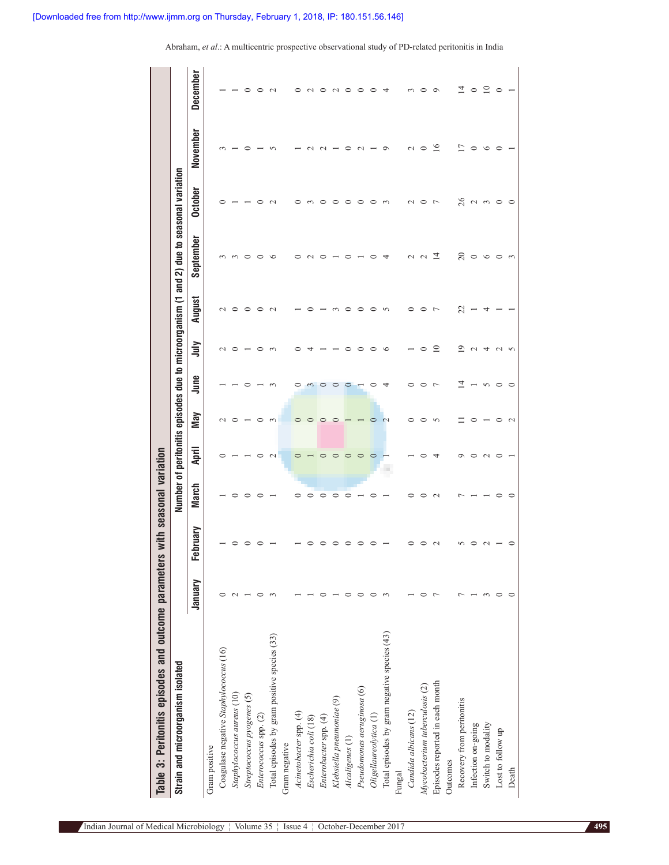**December January February March April May June July August September October November December**  $\overline{1}$  $\supseteq$  $\circ$  $\circ$  $\circ$  $\circ$  $\circ$  $\circ$  $\circ$  $\circ$  $\circ$ Recovery from peritonities recovery from the contract of the contract of the contract of the contract of the contract of the contract of the contract of the contract of the contract of the contract of the contract of the c Switch to model is a control of the model of the control of  $\alpha$  and  $\alpha$  and  $\alpha$  and  $\alpha$  and  $\alpha$  and  $\alpha$  and  $\alpha$  and  $\alpha$  and  $\alpha$  and  $\alpha$  and  $\alpha$  and  $\alpha$  and  $\alpha$  and  $\alpha$  and  $\alpha$  and  $\alpha$  and  $\alpha$  and  $\alpha$  and  $\subset$  $\sim$  $\sim$  $\sim$ Coagulase negative *Staphylococcus* (16) 0 1 1 0 2 1 2 2 3 0 3 1 *Staphylococcus aureus* (10) 2 0 0 1 0 1 0 0 3 1 1 1 *Streptococcus pyogenes* (5) 1 0 0 1 1 0 1 0 0 1 0 0 *Enterococcus* spp. (2) 0 0 0 0 0 1 0 0 0 0 1 0 Total episodes by gram positive species (33)  $\begin{array}{cccccc} 3 & 3 & 3 & 3 \\ 2 & 4 & 3 & 3 \\ 1 & 2 & 3 & 3 \end{array}$ *Acinetobacter* spp. (4) 1 1 0 0 0 0 0 1 0 0 1 0 *Escherichia coli* (18) 1 0 0 1 0 3 4 0 2 3 2 2 *Enterobacter* spp. (4) 0 0 0 0 0 0 1 1 0 0 2 0 *Klebsiella pneumoniae* (9) 1 0 0 0 0 0 1 3 1 0 1 2 *Alcaligenes* (1) 0 0 0 0 1 0 0 0 0 0 0 0 **Pseudomonas areas areas areas areas and the contract of the contract of the contract of the contract of contract of**  $\sim$  **0 0**  $\sim$  **0**  $\sim$  **0**  $\sim$  **0**  $\sim$  **0**  $\sim$  **0**  $\sim$  **0**  $\sim$  **0**  $\sim$  **0**  $\sim$  **0**  $\sim$  **0**  $\sim$  **0**  $\sim$  **0**  $\sim$  **0**  $\sim$  **Oligellaureolytica (1) Oligensum Oligensum Oligensum Oligensum Oligensum Oligensum Oligensum Oligensum Oligensum Oligensum Oligensum Oligensum Oligensum Oligensum Oligensum Oligensum O** total episodes by gram negative species by gram negative species (43) 3 3 4 5 9 4 5 9 4 5 9 4 5 9 4 5 9 4 5 9 4 *Candida albicans* (12) 1 0 0 1 0 0 1 0 2 2 2 3 *Mycobacterium tuberculosis* (2) 0 0 0 0 0 0 0 0 2 0 0 0 Episodes reported in each month  $\begin{array}{ccccccccc} 1 & 2 & 2 & 4 & 5 & 7 & 14 & 7 & 16 & 16 \end{array}$ Infection on‑going 1 0 1 0 0 1 2 1 0 2 0 0 Lost to follow up 0 1 0 0 0 0 2 1 0 0 0 0 Death 1 2 0 0 0 0 0 0 0 0 0 1 0 1 0 0 0 1 1 0 1 1 0 0 0 0 0 0 1 1 0 0 0 0 0 0 0 1 0 0 0 0 0 0 0 0 0 0 0 0 0 0 1 November  $0000$  $\overline{\phantom{0}}$  $\sim$  $\infty$  $\sim$  $\overline{C}$  $\sqrt{2}$  $\circ$  $\sigma$ Number of peritonitis episodes due to microorganism (1 and 2) due to seasonal variation **Strain and microorganism isolated Number of peritonitis episodes due to microorganism (1 and 2) due to seasonal variation October**  $\delta$  $\circ$  $\sim$  $\circ$  $\circ$  $\circ$  $\circ$  $\circ$  $\circ$  $\circ$   $\circ$  $\sim$  $m \circ o$  $\sim$  $\sim$ September  $\circ$  $\circ$ Ġ  $\circ$  $\circ$  $\circ$  $\overline{\mathcal{L}}$  $\overline{1}$  $\overline{c}$  $\circ$  $\circ$  $\circ$   $\circ$  $\sim$ August  $\tilde{c}$  $\circ$  $\circ$  $\circ$  $\sim$  $\circ$  $\circ$  $\circ$  $\sim$  $\circ$  $\circ$   $\sim$ 4  $\frac{1}{2}$  $10$  $19$  $\epsilon$  $\circ$  $\infty$  $\circ$  $\epsilon$  $\overline{C}$  $\sim$  $\overline{a}$  $\sim$   $\sim$ June  $\overline{4}$  $\infty$  $\overline{\phantom{0}}$  $\circ$  $\circ$  $\mathbf C$  $\circ$  $\overline{4}$  $\circ$  $\circ$  $\triangleright$  $500$  $\subset$ May  $\circ$  $\circ$  $\equiv$  $\circ$  $\circ$  $\subset$  $\subset$  $\overline{\phantom{0}}$  $\circ$  $\sqrt{2}$  $\sim$ April Table 3: Peritonitis episodes and outcome parameters with seasonal variation **Table 3: Peritonitis episodes and outcome parameters with seasonal variation**  $\overline{C}$  $\circ$  $\circ$  $\circ$  $\circ$  $\circ$  $\circ$  $\circ$  $\sim$ **March**  $\circ$  $\subset$  $\overline{\phantom{0}}$  $\circ$  $\circ$  $\circ$  $\overline{C}$  $\sim$  $\circ$  $\subset$ February  $\subset$  $\subset$  $\subset$  $\circ$  $\circ$  $\bigcirc$  $\circ$  $\overline{\phantom{0}}$  $\circ$  $\sim$  $\sqrt{2}$  $\circ$  $\sim$  $\subset$ January  $\circ$  $\sim$  $\circ$  $\sim$  $\subset$  $\circ$  $\circ$  $\circ$  $\epsilon$  $\circ$  $\overline{a}$  $\sim$  $\circ$   $\circ$ Total episodes by gram negative species (43) Total episodes by gram positive species (33) Coagulase negative Staphylococcus (16) Strain and microorganism isolated Episodes reported in each month Mycobacterium tuberculosis (2) Pseudomonas aeruginosa (6) Staphylococcus aureus (10) Streptococcus pyogenes (5) Klebsiella pneumoniae (9) Recovery from peritonitis Acinetobacter spp. (4) Oligellaureolytica (1) Candida albicans (12) Enterococcus spp. (2) Enterobacter spp. (4) Escherichia coli (18) Infection on-going Switch to modality Lost to follow up Alcaligenes (1) Gram negative Gram positive Gram negative Gram positive **Outcomes** Outcomes Death Fungal

Abraham, et al.: A multicentric prospective observational study of PD-related peritonitis in India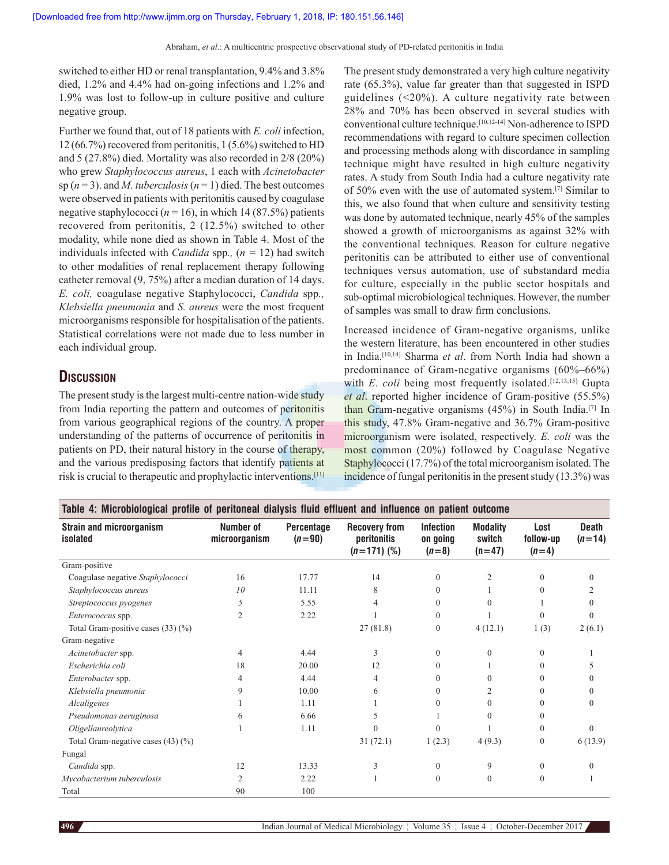switched to either HD or renal transplantation, 9.4% and 3.8% died, 1.2% and 4.4% had on‑going infections and 1.2% and 1.9% was lost to follow‑up in culture positive and culture negative group.

Further we found that, out of 18 patients with *E. coli* infection, 12 (66.7%) recovered from peritonitis, 1 (5.6%) switched to HD and 5 (27.8%) died. Mortality was also recorded in 2/8 (20%) who grew *Staphylococcus aureus*, 1 each with *Acinetobacter* sp (*n* = 3). and *M. tuberculosis*(*n* = 1) died. The best outcomes were observed in patients with peritonitis caused by coagulase negative staphylococci  $(n = 16)$ , in which 14 (87.5%) patients recovered from peritonitis, 2 (12.5%) switched to other modality, while none died as shown in Table 4. Most of the individuals infected with *Candida* spp.,  $(n = 12)$  had switch to other modalities of renal replacement therapy following catheter removal (9, 75%) after a median duration of 14 days. *E. coli,* coagulase negative Staphylococci, *Candida* spp*., Klebsiella pneumonia* and *S. aureus* were the most frequent microorganisms responsible for hospitalisation of the patients. Statistical correlations were not made due to less number in each individual group.

# **Discussion**

The present study is the largest multi-centre nation-wide study from India reporting the pattern and outcomes of peritonitis from various geographical regions of the country. A proper understanding of the patterns of occurrence of peritonitis in patients on PD, their natural history in the course of therapy, and the various predisposing factors that identify patients at risk is crucial to therapeutic and prophylactic interventions.[11] The present study demonstrated a very high culture negativity rate (65.3%), value far greater than that suggested in ISPD guidelines (<20%). A culture negativity rate between 28% and 70% has been observed in several studies with conventional culture technique.<sup>[10,12-14]</sup> Non-adherence to ISPD recommendations with regard to culture specimen collection and processing methods along with discordance in sampling technique might have resulted in high culture negativity rates. A study from South India had a culture negativity rate of 50% even with the use of automated system.[7] Similar to this, we also found that when culture and sensitivity testing was done by automated technique, nearly 45% of the samples showed a growth of microorganisms as against 32% with the conventional techniques. Reason for culture negative peritonitis can be attributed to either use of conventional techniques versus automation, use of substandard media for culture, especially in the public sector hospitals and sub‑optimal microbiological techniques. However, the number of samples was small to draw firm conclusions.

Increased incidence of Gram‑negative organisms, unlike the western literature, has been encountered in other studies in India.[10,14] Sharma *et al*. from North India had shown a predominance of Gram-negative organisms  $(60\% - 66\%)$ with *E. coli* being most frequently isolated.<sup>[12,13,15]</sup> Gupta *et al*. reported higher incidence of Gram‑positive (55.5%) than Gram‑negative organisms (45%) in South India.[7] In this study, 47.8% Gram‑negative and 36.7% Gram‑positive microorganism were isolated, respectively. *E. coli* was the most common (20%) followed by Coagulase Negative Staphylococci (17.7%) of the total microorganism isolated. The incidence of fungal peritonitis in the present study (13.3%) was

| Table 4: Microbiological profile of peritoneal dialysis fluid effluent and influence on patient outcome |                            |                               |                                                      |                                         |                                       |                              |                          |  |  |
|---------------------------------------------------------------------------------------------------------|----------------------------|-------------------------------|------------------------------------------------------|-----------------------------------------|---------------------------------------|------------------------------|--------------------------|--|--|
| <b>Strain and microorganism</b><br>isolated                                                             | Number of<br>microorganism | <b>Percentage</b><br>$(n=90)$ | <b>Recovery from</b><br>peritonitis<br>$(n=171)$ (%) | <b>Infection</b><br>on going<br>$(n=8)$ | <b>Modality</b><br>switch<br>$(n=47)$ | Lost<br>follow-up<br>$(n=4)$ | <b>Death</b><br>$(n=14)$ |  |  |
| Gram-positive                                                                                           |                            |                               |                                                      |                                         |                                       |                              |                          |  |  |
| Coagulase negative Staphylococci                                                                        | 16                         | 17.77                         | 14                                                   | $\Omega$                                | 2                                     | $\Omega$                     | $\theta$                 |  |  |
| Staphylococcus aureus                                                                                   | 10                         | 11.11                         | 8                                                    | $\Omega$                                |                                       | 0                            | $\overline{2}$           |  |  |
| Streptococcus pyogenes                                                                                  | 5                          | 5.55                          | 4                                                    | $\Omega$                                | 0                                     |                              | $\Omega$                 |  |  |
| Enterococcus spp.                                                                                       | $\overline{2}$             | 2.22                          |                                                      | $\Omega$                                |                                       | $\Omega$                     | $\theta$                 |  |  |
| Total Gram-positive cases (33) (%)                                                                      |                            |                               | 27(81.8)                                             | $\overline{0}$                          | 4(12.1)                               | 1(3)                         | 2(6.1)                   |  |  |
| Gram-negative                                                                                           |                            |                               |                                                      |                                         |                                       |                              |                          |  |  |
| Acinetobacter spp.                                                                                      | 4                          | 4.44                          | 3                                                    | $\Omega$                                | $\Omega$                              | $\Omega$                     |                          |  |  |
| Escherichia coli                                                                                        | 18                         | 20.00                         | 12                                                   | $\Omega$                                |                                       | $\Omega$                     | 5                        |  |  |
| Enterobacter spp.                                                                                       | 4                          | 4.44                          | 4                                                    | $\Omega$                                | $\Omega$                              | 0                            | $\Omega$                 |  |  |
| Klebsiella pneumonia                                                                                    | 9                          | 10.00                         | 6                                                    | 0                                       | 2                                     | 0                            | $\Omega$                 |  |  |
| Alcaligenes                                                                                             |                            | 1.11                          |                                                      | $\Omega$                                | $\theta$                              | 0                            | $\theta$                 |  |  |
| Pseudomonas aeruginosa                                                                                  | 6                          | 6.66                          | 5                                                    |                                         | $\Omega$                              |                              |                          |  |  |
| Oligellaureolytica                                                                                      |                            | 1.11                          | 0                                                    | $\Omega$                                |                                       | $\Omega$                     | $\theta$                 |  |  |
| Total Gram-negative cases $(43)$ $(\%)$                                                                 |                            |                               | 31(72.1)                                             | 1(2.3)                                  | 4(9.3)                                | $\theta$                     | 6(13.9)                  |  |  |
| Fungal                                                                                                  |                            |                               |                                                      |                                         |                                       |                              |                          |  |  |
| Candida spp.                                                                                            | 12                         | 13.33                         |                                                      | $\Omega$                                | 9                                     | $\theta$                     | $\theta$                 |  |  |
| Mycobacterium tuberculosis                                                                              | 2                          | 2.22                          |                                                      | $\Omega$                                | $\mathbf{0}$                          | $\theta$                     |                          |  |  |
| Total                                                                                                   | 90                         | 100                           |                                                      |                                         |                                       |                              |                          |  |  |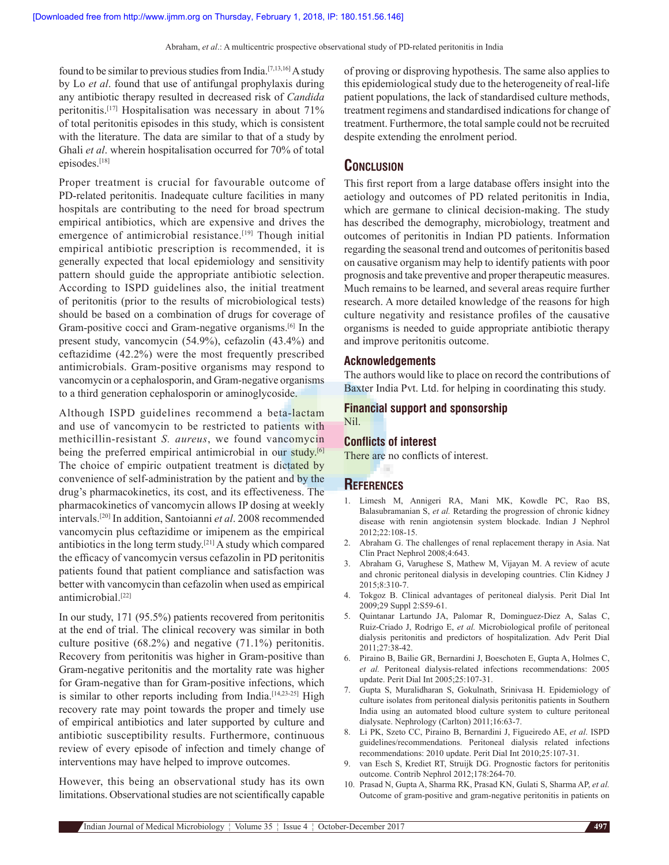found to be similar to previous studies from India.<sup>[7,13,16]</sup> A study by Lo *et al*. found that use of antifungal prophylaxis during any antibiotic therapy resulted in decreased risk of *Candida* peritonitis.[17] Hospitalisation was necessary in about 71% of total peritonitis episodes in this study, which is consistent with the literature. The data are similar to that of a study by Ghali *et al*. wherein hospitalisation occurred for 70% of total episodes.[18]

Proper treatment is crucial for favourable outcome of PD-related peritonitis. Inadequate culture facilities in many hospitals are contributing to the need for broad spectrum empirical antibiotics, which are expensive and drives the emergence of antimicrobial resistance.<sup>[19]</sup> Though initial empirical antibiotic prescription is recommended, it is generally expected that local epidemiology and sensitivity pattern should guide the appropriate antibiotic selection. According to ISPD guidelines also, the initial treatment of peritonitis (prior to the results of microbiological tests) should be based on a combination of drugs for coverage of Gram-positive cocci and Gram-negative organisms.<sup>[6]</sup> In the present study, vancomycin (54.9%), cefazolin (43.4%) and ceftazidime (42.2%) were the most frequently prescribed antimicrobials. Gram‑positive organisms may respond to vancomycin or a cephalosporin, and Gram‑negative organisms to a third generation cephalosporin or aminoglycoside.

Although ISPD guidelines recommend a beta-lactam and use of vancomycin to be restricted to patients with methicillin‑resistant *S. aureus*, we found vancomycin being the preferred empirical antimicrobial in our study.<sup>[6]</sup> The choice of empiric outpatient treatment is dictated by convenience of self‑administration by the patient and by the drug's pharmacokinetics, its cost, and its effectiveness. The pharmacokinetics of vancomycin allows IP dosing at weekly intervals.[20] In addition, Santoianni *et al*. 2008 recommended vancomycin plus ceftazidime or imipenem as the empirical antibiotics in the long term study.[21] A study which compared the efficacy of vancomycin versus cefazolin in PD peritonitis patients found that patient compliance and satisfaction was better with vancomycin than cefazolin when used as empirical antimicrobial<sup>[22]</sup>

In our study, 171 (95.5%) patients recovered from peritonitis at the end of trial. The clinical recovery was similar in both culture positive (68.2%) and negative (71.1%) peritonitis. Recovery from peritonitis was higher in Gram‑positive than Gram‑negative peritonitis and the mortality rate was higher for Gram-negative than for Gram-positive infections, which is similar to other reports including from India.<sup>[14,23-25]</sup> High recovery rate may point towards the proper and timely use of empirical antibiotics and later supported by culture and antibiotic susceptibility results. Furthermore, continuous review of every episode of infection and timely change of interventions may have helped to improve outcomes.

However, this being an observational study has its own limitations. Observational studies are not scientifically capable of proving or disproving hypothesis. The same also applies to this epidemiological study due to the heterogeneity of real-life patient populations, the lack of standardised culture methods, treatment regimens and standardised indications for change of treatment. Furthermore, the total sample could not be recruited despite extending the enrolment period.

## **Conclusion**

This first report from a large database offers insight into the aetiology and outcomes of PD related peritonitis in India, which are germane to clinical decision-making. The study has described the demography, microbiology, treatment and outcomes of peritonitis in Indian PD patients. Information regarding the seasonal trend and outcomes of peritonitis based on causative organism may help to identify patients with poor prognosis and take preventive and proper therapeutic measures. Much remains to be learned, and several areas require further research. A more detailed knowledge of the reasons for high culture negativity and resistance profiles of the causative organisms is needed to guide appropriate antibiotic therapy and improve peritonitis outcome.

#### **Acknowledgements**

The authors would like to place on record the contributions of Baxter India Pvt. Ltd. for helping in coordinating this study.

#### **Financial support and sponsorship** Nil.

# **Conflicts of interest**

There are no conflicts of interest.

## **References**

- 1. Limesh M, Annigeri RA, Mani MK, Kowdle PC, Rao BS, Balasubramanian S, *et al.* Retarding the progression of chronic kidney disease with renin angiotensin system blockade. Indian J Nephrol 2012;22:108‑15.
- 2. Abraham G. The challenges of renal replacement therapy in Asia. Nat Clin Pract Nephrol 2008;4:643.
- 3. Abraham G, Varughese S, Mathew M, Vijayan M. A review of acute and chronic peritoneal dialysis in developing countries. Clin Kidney J 2015;8:310‑7.
- 4. Tokgoz B. Clinical advantages of peritoneal dialysis. Perit Dial Int 2009;29 Suppl 2:S59‑61.
- 5. Quintanar Lartundo JA, Palomar R, Dominguez-Diez A, Salas C, Ruiz‑Criado J, Rodrigo E, *et al.* Microbiological profile of peritoneal dialysis peritonitis and predictors of hospitalization. Adv Perit Dial 2011;27:38‑42.
- 6. Piraino B, Bailie GR, Bernardini J, Boeschoten E, Gupta A, Holmes C, *et al.* Peritoneal dialysis‑related infections recommendations: 2005 update. Perit Dial Int 2005;25:107‑31.
- 7. Gupta S, Muralidharan S, Gokulnath, Srinivasa H. Epidemiology of culture isolates from peritoneal dialysis peritonitis patients in Southern India using an automated blood culture system to culture peritoneal dialysate. Nephrology (Carlton) 2011;16:63‑7.
- 8. Li PK, Szeto CC, Piraino B, Bernardini J, Figueiredo AE, *et al*. ISPD guidelines/recommendations. Peritoneal dialysis related infections recommendations: 2010 update. Perit Dial Int 2010;25:107-31.
- 9. van Esch S, Krediet RT, Struijk DG. Prognostic factors for peritonitis outcome. Contrib Nephrol 2012;178:264‑70.
- 10. Prasad N, Gupta A, Sharma RK, Prasad KN, Gulati S, Sharma AP, *et al.* Outcome of gram‑positive and gram‑negative peritonitis in patients on